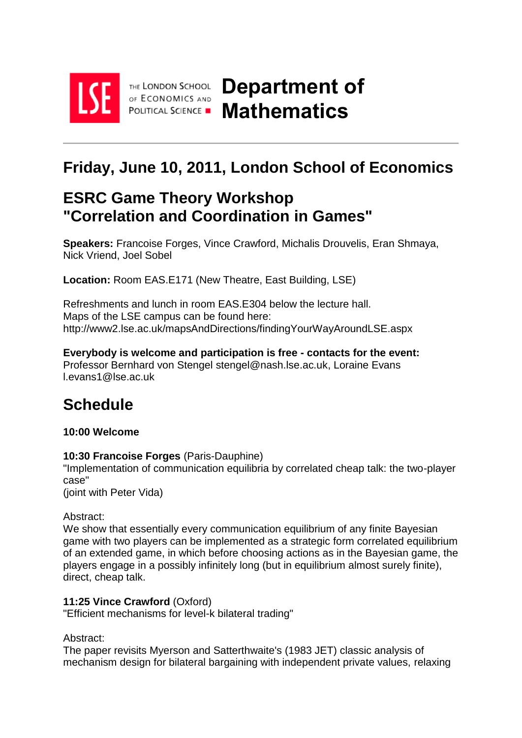

THE LONDON SCHOOL OF ECONOMICS AND

# **Friday, June 10, 2011, London School of Economics**

# **ESRC Game Theory Workshop "Correlation and Coordination in Games"**

**Speakers:** Francoise Forges, Vince Crawford, Michalis Drouvelis, Eran Shmaya, Nick Vriend, Joel Sobel

**Location:** Room EAS.E171 (New Theatre, East Building, LSE)

Refreshments and lunch in room EAS.E304 below the lecture hall. Maps of the LSE campus can be found here: http://www2.lse.ac.uk/mapsAndDirections/findingYourWayAroundLSE.aspx

**Everybody is welcome and participation is free - contacts for the event:** Professor Bernhard von Stengel stengel@nash.lse.ac.uk, Loraine Evans l.evans1@lse.ac.uk

# **Schedule**

# **10:00 Welcome**

# **10:30 Francoise Forges** (Paris-Dauphine)

"Implementation of communication equilibria by correlated cheap talk: the two-player case"

(joint with Peter Vida)

# Abstract:

We show that essentially every communication equilibrium of any finite Bayesian game with two players can be implemented as a strategic form correlated equilibrium of an extended game, in which before choosing actions as in the Bayesian game, the players engage in a possibly infinitely long (but in equilibrium almost surely finite), direct, cheap talk.

# **11:25 Vince Crawford** (Oxford)

"Efficient mechanisms for level-k bilateral trading"

# Abstract:

The paper revisits Myerson and Satterthwaite's (1983 JET) classic analysis of mechanism design for bilateral bargaining with independent private values, relaxing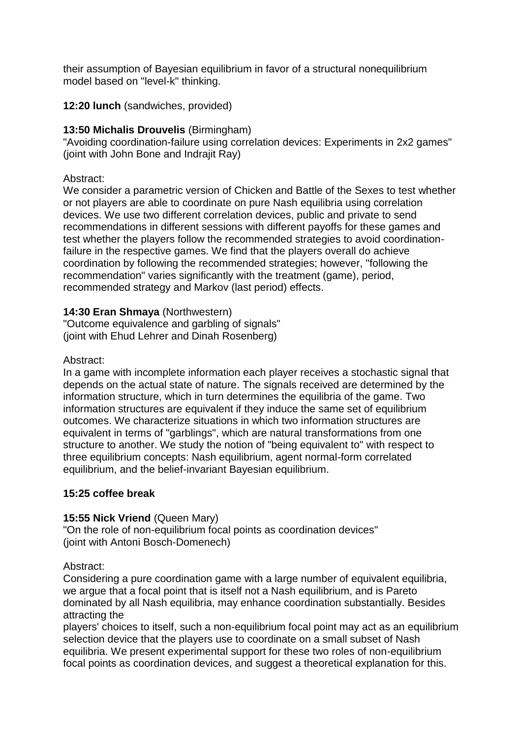their assumption of Bayesian equilibrium in favor of a structural nonequilibrium model based on "level-k" thinking.

**12:20 lunch** (sandwiches, provided)

# **13:50 Michalis Drouvelis** (Birmingham)

"Avoiding coordination-failure using correlation devices: Experiments in 2x2 games" (joint with John Bone and Indrajit Ray)

# Abstract:

We consider a parametric version of Chicken and Battle of the Sexes to test whether or not players are able to coordinate on pure Nash equilibria using correlation devices. We use two different correlation devices, public and private to send recommendations in different sessions with different payoffs for these games and test whether the players follow the recommended strategies to avoid coordinationfailure in the respective games. We find that the players overall do achieve coordination by following the recommended strategies; however, "following the recommendation" varies significantly with the treatment (game), period, recommended strategy and Markov (last period) effects.

# **14:30 Eran Shmaya** (Northwestern)

"Outcome equivalence and garbling of signals" (joint with Ehud Lehrer and Dinah Rosenberg)

#### Abstract:

In a game with incomplete information each player receives a stochastic signal that depends on the actual state of nature. The signals received are determined by the information structure, which in turn determines the equilibria of the game. Two information structures are equivalent if they induce the same set of equilibrium outcomes. We characterize situations in which two information structures are equivalent in terms of "garblings", which are natural transformations from one structure to another. We study the notion of "being equivalent to" with respect to three equilibrium concepts: Nash equilibrium, agent normal-form correlated equilibrium, and the belief-invariant Bayesian equilibrium.

# **15:25 coffee break**

# **15:55 Nick Vriend** (Queen Mary)

"On the role of non-equilibrium focal points as coordination devices" (joint with Antoni Bosch-Domenech)

Abstract:

Considering a pure coordination game with a large number of equivalent equilibria, we argue that a focal point that is itself not a Nash equilibrium, and is Pareto dominated by all Nash equilibria, may enhance coordination substantially. Besides attracting the

players' choices to itself, such a non-equilibrium focal point may act as an equilibrium selection device that the players use to coordinate on a small subset of Nash equilibria. We present experimental support for these two roles of non-equilibrium focal points as coordination devices, and suggest a theoretical explanation for this.